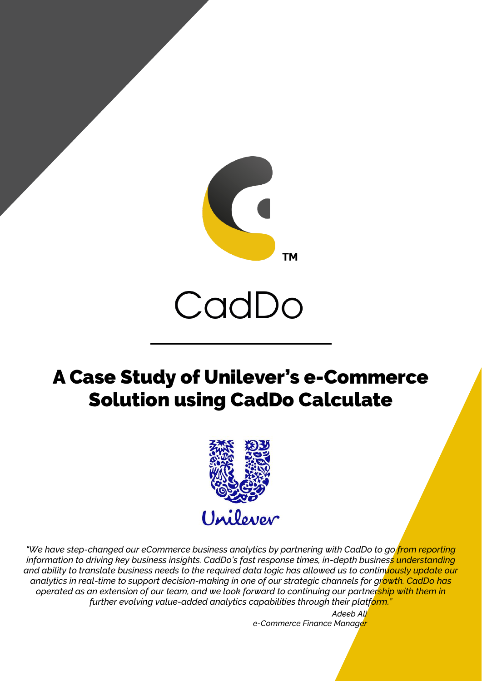

# CadDo

## A Case Study of Unilever's e-Commerce Solution using CadDo Calculate



*"We have step-changed our eCommerce business analytics by partnering with CadDo to go from reporting*  information to driving key business insights. CadDo's fast response times, in-depth business understanding *and ability to translate business needs to the required data logic has allowed us to continuously update our analytics in real-time to support decision-making in one of our strategic channels for growth. CadDo has operated as an extension of our team, and we look forward to continuing our partnership with them in further evolving value-added analytics capabilities through their platform."*

> *Adeeb Ali e-Commerce Finance Manager*